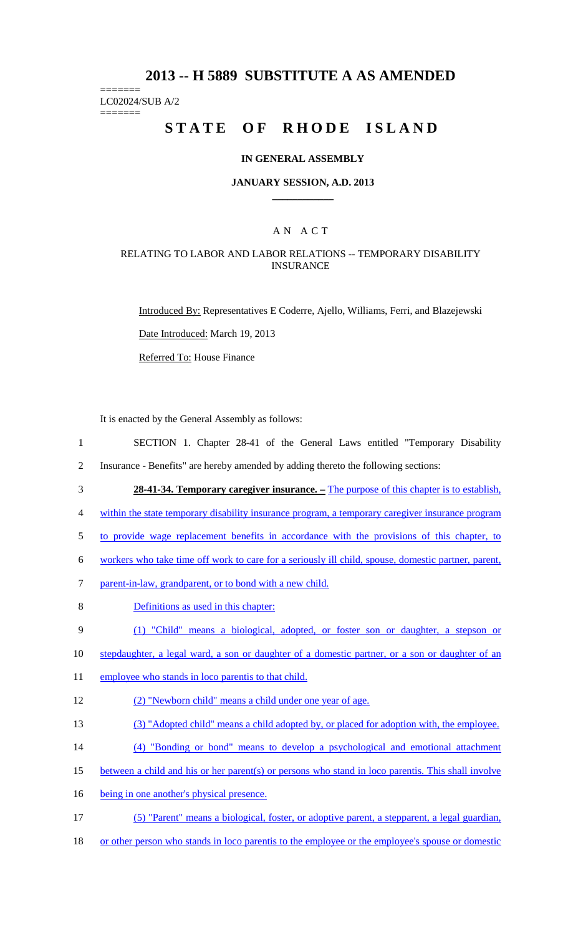# **2013 -- H 5889 SUBSTITUTE A AS AMENDED**

======= LC02024/SUB A/2

=======

# **STATE OF RHODE ISLAND**

#### **IN GENERAL ASSEMBLY**

#### **JANUARY SESSION, A.D. 2013 \_\_\_\_\_\_\_\_\_\_\_\_**

## A N A C T

#### RELATING TO LABOR AND LABOR RELATIONS -- TEMPORARY DISABILITY INSURANCE

Introduced By: Representatives E Coderre, Ajello, Williams, Ferri, and Blazejewski

Date Introduced: March 19, 2013

Referred To: House Finance

It is enacted by the General Assembly as follows:

1 SECTION 1. Chapter 28-41 of the General Laws entitled "Temporary Disability

2 Insurance - Benefits" are hereby amended by adding thereto the following sections:

3 **28-41-34. Temporary caregiver insurance. –** The purpose of this chapter is to establish,

4 within the state temporary disability insurance program, a temporary caregiver insurance program

5 to provide wage replacement benefits in accordance with the provisions of this chapter, to

6 workers who take time off work to care for a seriously ill child, spouse, domestic partner, parent,

7 parent-in-law, grandparent, or to bond with a new child.

- 8 Definitions as used in this chapter:
- 9 (1) "Child" means a biological, adopted, or foster son or daughter, a stepson or
- 10 stepdaughter, a legal ward, a son or daughter of a domestic partner, or a son or daughter of an
- 11 employee who stands in loco parentis to that child.
- 12 (2) "Newborn child" means a child under one year of age.
- 13 (3) "Adopted child" means a child adopted by, or placed for adoption with, the employee.
- 14 (4) "Bonding or bond" means to develop a psychological and emotional attachment
- 15 between a child and his or her parent(s) or persons who stand in loco parentis. This shall involve
- 16 being in one another's physical presence.
- 17 (5) "Parent" means a biological, foster, or adoptive parent, a stepparent, a legal guardian,
- 18 or other person who stands in loco parentis to the employee or the employee's spouse or domestic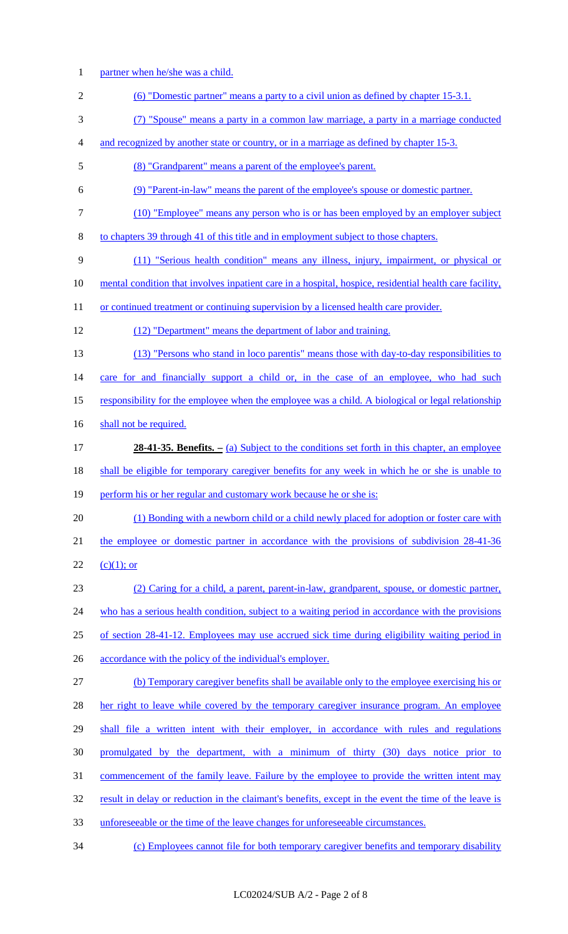- 1 partner when he/she was a child.
- 2 (6) "Domestic partner" means a party to a civil union as defined by chapter 15-3.1.
- 3 (7) "Spouse" means a party in a common law marriage, a party in a marriage conducted
- 4 and recognized by another state or country, or in a marriage as defined by chapter 15-3.
- 5 (8) "Grandparent" means a parent of the employee's parent.
- 6 (9) "Parent-in-law" means the parent of the employee's spouse or domestic partner.
- 7 (10) "Employee" means any person who is or has been employed by an employer subject
- 8 to chapters 39 through 41 of this title and in employment subject to those chapters.
- 9 (11) "Serious health condition" means any illness, injury, impairment, or physical or
- 10 mental condition that involves inpatient care in a hospital, hospice, residential health care facility,
- 11 or continued treatment or continuing supervision by a licensed health care provider.
- 12 (12) "Department" means the department of labor and training.
- 13 (13) "Persons who stand in loco parentis" means those with day-to-day responsibilities to

14 care for and financially support a child or, in the case of an employee, who had such

- 15 responsibility for the employee when the employee was a child. A biological or legal relationship
- 16 shall not be required.
- 17 **28-41-35. Benefits.** (a) Subject to the conditions set forth in this chapter, an employee
- 18 shall be eligible for temporary caregiver benefits for any week in which he or she is unable to
- 19 perform his or her regular and customary work because he or she is:
- 20 (1) Bonding with a newborn child or a child newly placed for adoption or foster care with 21 the employee or domestic partner in accordance with the provisions of subdivision 28-41-36 22 (c)(1); or
- 23 (2) Caring for a child, a parent, parent-in-law, grandparent, spouse, or domestic partner,
- 24 who has a serious health condition, subject to a waiting period in accordance with the provisions
- 25 of section 28-41-12. Employees may use accrued sick time during eligibility waiting period in
- 26 accordance with the policy of the individual's employer.
- 27 (b) Temporary caregiver benefits shall be available only to the employee exercising his or
- 28 her right to leave while covered by the temporary caregiver insurance program. An employee
- 29 shall file a written intent with their employer, in accordance with rules and regulations
- 30 promulgated by the department, with a minimum of thirty (30) days notice prior to
- 31 commencement of the family leave. Failure by the employee to provide the written intent may
- 32 result in delay or reduction in the claimant's benefits, except in the event the time of the leave is
- 33 unforeseeable or the time of the leave changes for unforeseeable circumstances.
- 34 (c) Employees cannot file for both temporary caregiver benefits and temporary disability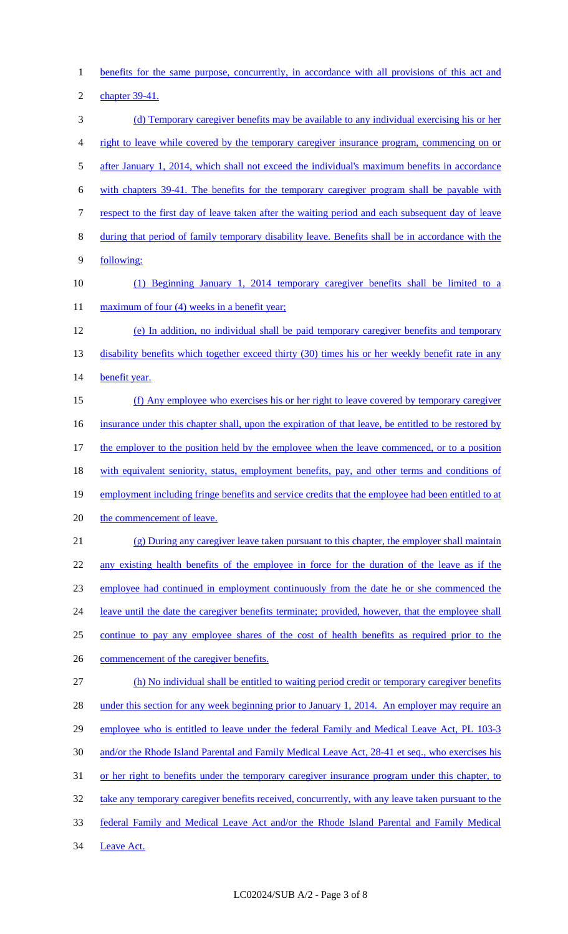1 benefits for the same purpose, concurrently, in accordance with all provisions of this act and

2 chapter 39-41.

3 (d) Temporary caregiver benefits may be available to any individual exercising his or her 4 right to leave while covered by the temporary caregiver insurance program, commencing on or 5 after January 1, 2014, which shall not exceed the individual's maximum benefits in accordance 6 with chapters 39-41. The benefits for the temporary caregiver program shall be payable with 7 respect to the first day of leave taken after the waiting period and each subsequent day of leave 8 during that period of family temporary disability leave. Benefits shall be in accordance with the 9 following: 10 (1) Beginning January 1, 2014 temporary caregiver benefits shall be limited to a 11 maximum of four (4) weeks in a benefit year; 12 (e) In addition, no individual shall be paid temporary caregiver benefits and temporary 13 disability benefits which together exceed thirty (30) times his or her weekly benefit rate in any 14 benefit year. 15 (f) Any employee who exercises his or her right to leave covered by temporary caregiver 16 insurance under this chapter shall, upon the expiration of that leave, be entitled to be restored by 17 the employer to the position held by the employee when the leave commenced, or to a position 18 with equivalent seniority, status, employment benefits, pay, and other terms and conditions of 19 employment including fringe benefits and service credits that the employee had been entitled to at 20 the commencement of leave. 21 (g) During any caregiver leave taken pursuant to this chapter, the employer shall maintain 22 any existing health benefits of the employee in force for the duration of the leave as if the 23 employee had continued in employment continuously from the date he or she commenced the 24 leave until the date the caregiver benefits terminate; provided, however, that the employee shall 25 continue to pay any employee shares of the cost of health benefits as required prior to the 26 commencement of the caregiver benefits. 27 (h) No individual shall be entitled to waiting period credit or temporary caregiver benefits 28 under this section for any week beginning prior to January 1, 2014. An employer may require an 29 employee who is entitled to leave under the federal Family and Medical Leave Act, PL 103-3 30 and/or the Rhode Island Parental and Family Medical Leave Act, 28-41 et seq., who exercises his 31 or her right to benefits under the temporary caregiver insurance program under this chapter, to 32 take any temporary caregiver benefits received, concurrently, with any leave taken pursuant to the 33 federal Family and Medical Leave Act and/or the Rhode Island Parental and Family Medical 34 Leave Act.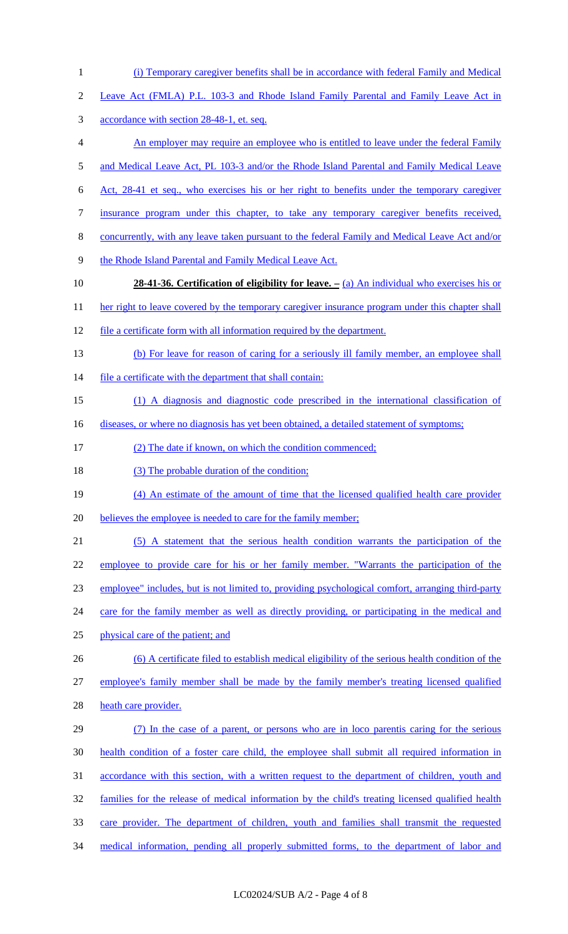- 1 (i) Temporary caregiver benefits shall be in accordance with federal Family and Medical
- 2 Leave Act (FMLA) P.L. 103-3 and Rhode Island Family Parental and Family Leave Act in
- 3 accordance with section 28-48-1, et. seq.
- 4 An employer may require an employee who is entitled to leave under the federal Family
- 5 and Medical Leave Act, PL 103-3 and/or the Rhode Island Parental and Family Medical Leave
- 6 Act, 28-41 et seq., who exercises his or her right to benefits under the temporary caregiver
- 7 insurance program under this chapter, to take any temporary caregiver benefits received,
- 8 concurrently, with any leave taken pursuant to the federal Family and Medical Leave Act and/or
- 9 the Rhode Island Parental and Family Medical Leave Act.
- 10 **28-41-36. Certification of eligibility for leave. –** (a) An individual who exercises his or
- 11 her right to leave covered by the temporary caregiver insurance program under this chapter shall
- 12 file a certificate form with all information required by the department.
- 13 (b) For leave for reason of caring for a seriously ill family member, an employee shall
- 14 file a certificate with the department that shall contain:
- 15 (1) A diagnosis and diagnostic code prescribed in the international classification of
- 16 diseases, or where no diagnosis has yet been obtained, a detailed statement of symptoms;
- 17 (2) The date if known, on which the condition commenced;
- 18 (3) The probable duration of the condition;
- 19 (4) An estimate of the amount of time that the licensed qualified health care provider
- 20 believes the employee is needed to care for the family member;
- 21 (5) A statement that the serious health condition warrants the participation of the 22 employee to provide care for his or her family member. "Warrants the participation of the 23 employee" includes, but is not limited to, providing psychological comfort, arranging third-party 24 care for the family member as well as directly providing, or participating in the medical and 25 physical care of the patient; and 26 (6) A certificate filed to establish medical eligibility of the serious health condition of the
- 27 employee's family member shall be made by the family member's treating licensed qualified 28 heath care provider.
- 29 (7) In the case of a parent, or persons who are in loco parentis caring for the serious 30 health condition of a foster care child, the employee shall submit all required information in 31 accordance with this section, with a written request to the department of children, youth and 32 families for the release of medical information by the child's treating licensed qualified health 33 care provider. The department of children, youth and families shall transmit the requested 34 medical information, pending all properly submitted forms, to the department of labor and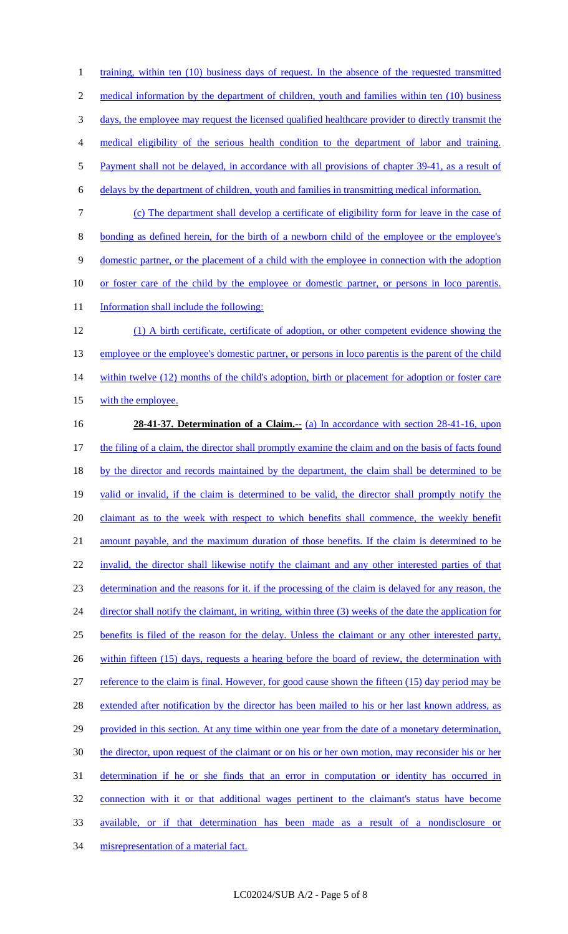1 training, within ten (10) business days of request. In the absence of the requested transmitted 2 medical information by the department of children, youth and families within ten (10) business 3 days, the employee may request the licensed qualified healthcare provider to directly transmit the 4 medical eligibility of the serious health condition to the department of labor and training. 5 Payment shall not be delayed, in accordance with all provisions of chapter 39-41, as a result of 6 delays by the department of children, youth and families in transmitting medical information. 7 (c) The department shall develop a certificate of eligibility form for leave in the case of 8 bonding as defined herein, for the birth of a newborn child of the employee or the employee's 9 domestic partner, or the placement of a child with the employee in connection with the adoption 10 or foster care of the child by the employee or domestic partner, or persons in loco parentis. 11 Information shall include the following: 12 (1) A birth certificate, certificate of adoption, or other competent evidence showing the 13 employee or the employee's domestic partner, or persons in loco parentis is the parent of the child 14 within twelve (12) months of the child's adoption, birth or placement for adoption or foster care 15 with the employee. 16 **28-41-37. Determination of a Claim.--** (a) In accordance with section 28-41-16, upon 17 the filing of a claim, the director shall promptly examine the claim and on the basis of facts found 18 by the director and records maintained by the department, the claim shall be determined to be 19 valid or invalid, if the claim is determined to be valid, the director shall promptly notify the 20 claimant as to the week with respect to which benefits shall commence, the weekly benefit 21 amount payable, and the maximum duration of those benefits. If the claim is determined to be 22 invalid, the director shall likewise notify the claimant and any other interested parties of that 23 determination and the reasons for it. if the processing of the claim is delayed for any reason, the 24 director shall notify the claimant, in writing, within three (3) weeks of the date the application for 25 benefits is filed of the reason for the delay. Unless the claimant or any other interested party, 26 within fifteen (15) days, requests a hearing before the board of review, the determination with 27 reference to the claim is final. However, for good cause shown the fifteen (15) day period may be 28 extended after notification by the director has been mailed to his or her last known address, as 29 provided in this section. At any time within one year from the date of a monetary determination, 30 the director, upon request of the claimant or on his or her own motion, may reconsider his or her 31 determination if he or she finds that an error in computation or identity has occurred in 32 connection with it or that additional wages pertinent to the claimant's status have become 33 available, or if that determination has been made as a result of a nondisclosure or 34 misrepresentation of a material fact.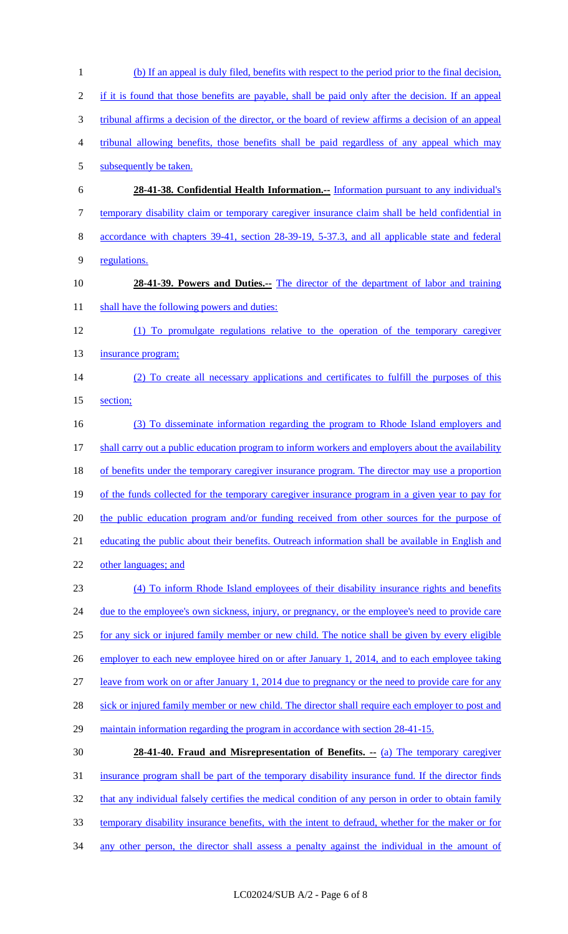1 (b) If an appeal is duly filed, benefits with respect to the period prior to the final decision, 2 if it is found that those benefits are payable, shall be paid only after the decision. If an appeal 3 tribunal affirms a decision of the director, or the board of review affirms a decision of an appeal 4 tribunal allowing benefits, those benefits shall be paid regardless of any appeal which may 5 subsequently be taken. 6 **28-41-38. Confidential Health Information.--** Information pursuant to any individual's 7 temporary disability claim or temporary caregiver insurance claim shall be held confidential in 8 accordance with chapters 39-41, section 28-39-19, 5-37.3, and all applicable state and federal 9 regulations. 10 **28-41-39. Powers and Duties.--** The director of the department of labor and training 11 shall have the following powers and duties: 12 (1) To promulgate regulations relative to the operation of the temporary caregiver 13 insurance program; 14 (2) To create all necessary applications and certificates to fulfill the purposes of this 15 section; 16 (3) To disseminate information regarding the program to Rhode Island employers and 17 shall carry out a public education program to inform workers and employers about the availability 18 of benefits under the temporary caregiver insurance program. The director may use a proportion 19 of the funds collected for the temporary caregiver insurance program in a given year to pay for 20 the public education program and/or funding received from other sources for the purpose of 21 educating the public about their benefits. Outreach information shall be available in English and 22 other languages; and 23 (4) To inform Rhode Island employees of their disability insurance rights and benefits 24 due to the employee's own sickness, injury, or pregnancy, or the employee's need to provide care 25 for any sick or injured family member or new child. The notice shall be given by every eligible 26 employer to each new employee hired on or after January 1, 2014, and to each employee taking 27 leave from work on or after January 1, 2014 due to pregnancy or the need to provide care for any 28 sick or injured family member or new child. The director shall require each employer to post and 29 maintain information regarding the program in accordance with section 28-41-15. 30 **28-41-40. Fraud and Misrepresentation of Benefits. --** (a) The temporary caregiver 31 insurance program shall be part of the temporary disability insurance fund. If the director finds 32 that any individual falsely certifies the medical condition of any person in order to obtain family 33 temporary disability insurance benefits, with the intent to defraud, whether for the maker or for 34 any other person, the director shall assess a penalty against the individual in the amount of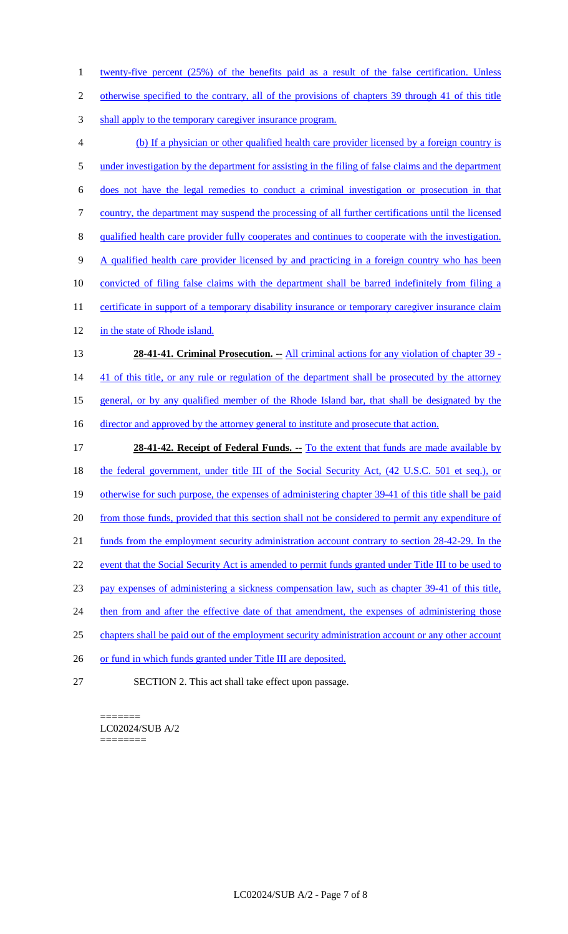1 twenty-five percent (25%) of the benefits paid as a result of the false certification. Unless 2 otherwise specified to the contrary, all of the provisions of chapters 39 through 41 of this title 3 shall apply to the temporary caregiver insurance program. 4 (b) If a physician or other qualified health care provider licensed by a foreign country is 5 under investigation by the department for assisting in the filing of false claims and the department 6 does not have the legal remedies to conduct a criminal investigation or prosecution in that 7 country, the department may suspend the processing of all further certifications until the licensed 8 qualified health care provider fully cooperates and continues to cooperate with the investigation. 9 A qualified health care provider licensed by and practicing in a foreign country who has been 10 convicted of filing false claims with the department shall be barred indefinitely from filing a 11 certificate in support of a temporary disability insurance or temporary caregiver insurance claim 12 in the state of Rhode island. 13 **28-41-41. Criminal Prosecution.** -- All criminal actions for any violation of chapter 39 -14 41 of this title, or any rule or regulation of the department shall be prosecuted by the attorney 15 general, or by any qualified member of the Rhode Island bar, that shall be designated by the 16 director and approved by the attorney general to institute and prosecute that action. 17 **28-41-42. Receipt of Federal Funds. --** To the extent that funds are made available by 18 the federal government, under title III of the Social Security Act, (42 U.S.C. 501 et seq.), or 19 otherwise for such purpose, the expenses of administering chapter 39-41 of this title shall be paid 20 from those funds, provided that this section shall not be considered to permit any expenditure of 21 funds from the employment security administration account contrary to section 28-42-29. In the 22 event that the Social Security Act is amended to permit funds granted under Title III to be used to 23 pay expenses of administering a sickness compensation law, such as chapter 39-41 of this title, 24 then from and after the effective date of that amendment, the expenses of administering those 25 chapters shall be paid out of the employment security administration account or any other account 26 or fund in which funds granted under Title III are deposited. 27 SECTION 2. This act shall take effect upon passage.

======= LC02024/SUB A/2 ========